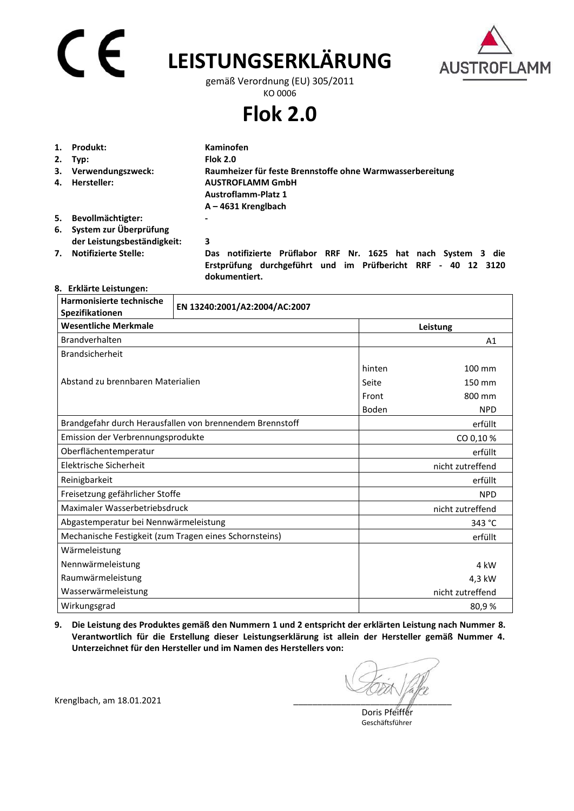# CE

## **LEISTUNGSERKLÄRUNG**



gemäß Verordnung (EU) 305/2011 KO 0006

**Flok 2.0** 

|    | 1. Produkt:               | Kaminofen                                                 |
|----|---------------------------|-----------------------------------------------------------|
|    | $2.$ Typ:                 | <b>Flok 2.0</b>                                           |
|    | 3. Verwendungszweck:      | Raumheizer für feste Brennstoffe ohne Warmwasserbereitung |
| 4. | Hersteller:               | <b>AUSTROFLAMM GmbH</b>                                   |
|    |                           | <b>Austroflamm-Platz 1</b>                                |
|    |                           | $A - 4631$ Krenglbach                                     |
| 5. | Bevollmächtigter:         | $\,$                                                      |
|    | 6. System zur Überprüfung |                                                           |

**der Leistungsbeständigkeit: 3** 

**7. Notifizierte Stelle: Das notifizierte Prüflabor RRF Nr. 1625 hat nach System 3 die Erstprüfung durchgeführt und im Prüfbericht RRF - 40 12 3120 dokumentiert.** 

## **8. Erklärte Leistungen:**

| Harmonisierte technische<br>Spezifikationen              | EN 13240:2001/A2:2004/AC:2007 |                  |                  |  |
|----------------------------------------------------------|-------------------------------|------------------|------------------|--|
| <b>Wesentliche Merkmale</b>                              |                               |                  | Leistung         |  |
| Brandverhalten                                           |                               | A1               |                  |  |
| Brandsicherheit                                          |                               |                  |                  |  |
|                                                          |                               | hinten           | 100 mm           |  |
| Abstand zu brennbaren Materialien                        |                               | Seite            | 150 mm           |  |
|                                                          |                               | Front            | 800 mm           |  |
|                                                          |                               | Boden            | <b>NPD</b>       |  |
| Brandgefahr durch Herausfallen von brennendem Brennstoff |                               |                  | erfüllt          |  |
| Emission der Verbrennungsprodukte                        |                               |                  | CO 0,10%         |  |
| Oberflächentemperatur                                    |                               |                  | erfüllt          |  |
| Elektrische Sicherheit                                   |                               |                  | nicht zutreffend |  |
| Reinigbarkeit                                            |                               | erfüllt          |                  |  |
| Freisetzung gefährlicher Stoffe                          |                               |                  | <b>NPD</b>       |  |
| Maximaler Wasserbetriebsdruck                            |                               | nicht zutreffend |                  |  |
| Abgastemperatur bei Nennwärmeleistung                    |                               |                  | 343 °C           |  |
| Mechanische Festigkeit (zum Tragen eines Schornsteins)   |                               |                  | erfüllt          |  |
| Wärmeleistung                                            |                               |                  |                  |  |
| Nennwärmeleistung                                        |                               |                  | 4 kW             |  |
| Raumwärmeleistung                                        |                               |                  | 4,3 kW           |  |
| Wasserwärmeleistung                                      | nicht zutreffend              |                  |                  |  |
| Wirkungsgrad                                             | 80,9%                         |                  |                  |  |

**9. Die Leistung des Produktes gemäß den Nummern 1 und 2 entspricht der erklärten Leistung nach Nummer 8. Verantwortlich für die Erstellung dieser Leistungserklärung ist allein der Hersteller gemäß Nummer 4. Unterzeichnet für den Hersteller und im Namen des Herstellers von:** 

 Doris Pfeiffer Geschäftsführer

Krenglbach, am 18.01.2021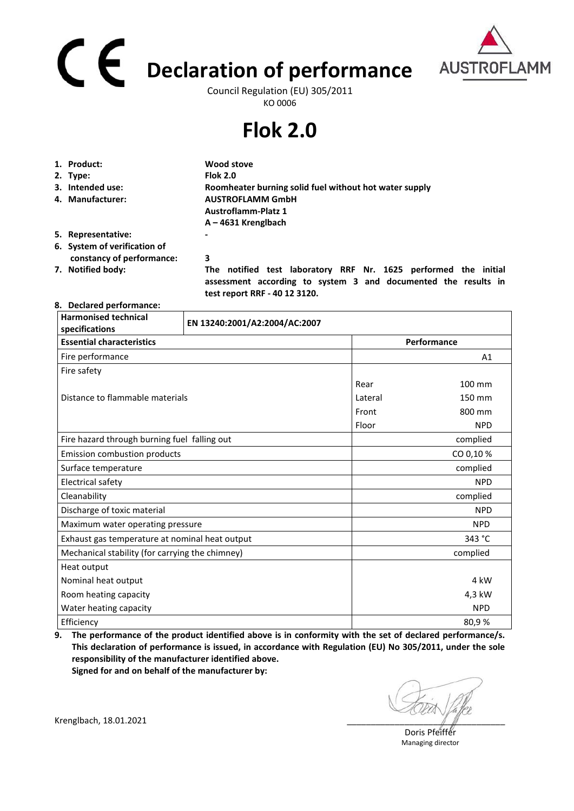# **Declaration of performance**  Council Regulation (EU) 305/2011



KO 0006

## **Flok 2.0**

| 1. Product:                  | Wood stove                                                                                                                        |  |
|------------------------------|-----------------------------------------------------------------------------------------------------------------------------------|--|
| 2. Type:                     | <b>Flok 2.0</b>                                                                                                                   |  |
| 3. Intended use:             | Roomheater burning solid fuel without hot water supply                                                                            |  |
| 4. Manufacturer:             | <b>AUSTROFLAMM GmbH</b>                                                                                                           |  |
|                              | <b>Austroflamm-Platz 1</b>                                                                                                        |  |
|                              | $A - 4631$ Krenglbach                                                                                                             |  |
| 5. Representative:           | $\overline{\phantom{a}}$                                                                                                          |  |
| 6. System of verification of |                                                                                                                                   |  |
| constancy of performance:    | 3                                                                                                                                 |  |
| 7. Notified body:            | The notified test laboratory RRF Nr. 1625 performed the initial<br>assessment according to system 3 and documented the results in |  |

 **test report RRF - 40 12 3120.** 

### **8. Declared performance:**

| <b>Harmonised technical</b><br>specifications   | EN 13240:2001/A2:2004/AC:2007 |         |             |  |
|-------------------------------------------------|-------------------------------|---------|-------------|--|
| <b>Essential characteristics</b>                |                               |         | Performance |  |
| Fire performance                                |                               |         | A1          |  |
| Fire safety                                     |                               |         |             |  |
|                                                 |                               | Rear    | 100 mm      |  |
| Distance to flammable materials                 |                               | Lateral | 150 mm      |  |
|                                                 |                               | Front   | 800 mm      |  |
|                                                 |                               | Floor   | <b>NPD</b>  |  |
| Fire hazard through burning fuel falling out    |                               |         | complied    |  |
| Emission combustion products                    |                               |         | CO 0,10 %   |  |
| Surface temperature                             |                               |         | complied    |  |
| Electrical safety                               |                               |         | <b>NPD</b>  |  |
| Cleanability                                    |                               |         | complied    |  |
| Discharge of toxic material                     |                               |         | <b>NPD</b>  |  |
| Maximum water operating pressure                |                               |         | <b>NPD</b>  |  |
| Exhaust gas temperature at nominal heat output  |                               |         | 343 °C      |  |
| Mechanical stability (for carrying the chimney) |                               |         | complied    |  |
| Heat output                                     |                               |         |             |  |
| Nominal heat output                             |                               |         | 4 kW        |  |
| Room heating capacity                           |                               |         | 4,3 kW      |  |
| Water heating capacity                          |                               |         | <b>NPD</b>  |  |
| Efficiency                                      |                               |         | 80,9%       |  |

**9. The performance of the product identified above is in conformity with the set of declared performance/s. This declaration of performance is issued, in accordance with Regulation (EU) No 305/2011, under the sole responsibility of the manufacturer identified above. Signed for and on behalf of the manufacturer by:**

Krenglbach, 18.01.2021

Doris Pfeiffer Managing director